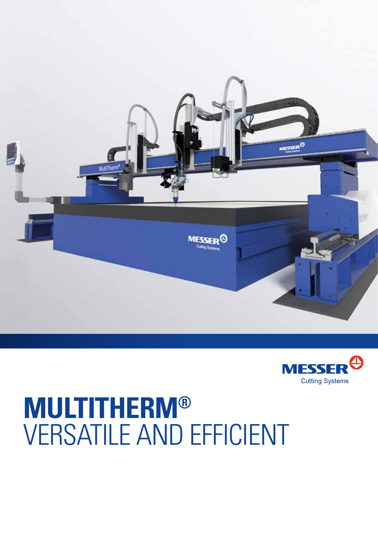



## **MULTITHERM®** VERSATILE AND EFFICIENT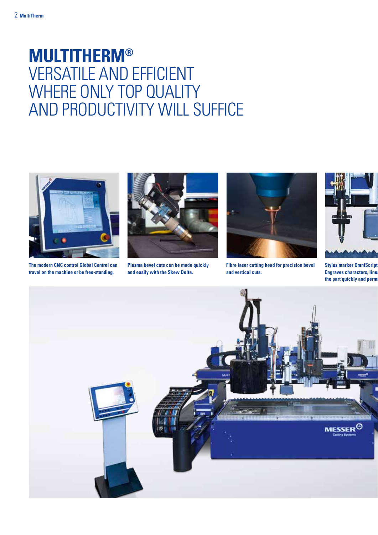## **MULTITHERM®**  VERSATILE AND EFFICIENT WHERE ONLY TOP QUALITY AND PRODUCTIVITY WILL SUFFICE



**The modern CNC control Global Control can travel on the machine or be free-standing.**



**Plasma bevel cuts can be made quickly and easily with the Skew Delta.**



**Fibre laser cutting head for precision bevel and vertical cuts.** 



**Stylus marker OmniScript: Engraves characters, line** the part quickly and perm

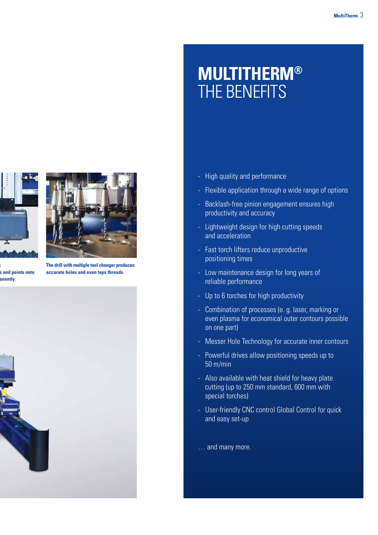

**Stylus marker OmniScript: Example in the points onto** anently.



**The drill with multiple tool changer produces accurate holes and even taps threads.**



## **Luftgefederte doppelseitige Längsantriebe gewähr- leisten hohe Produktivität und Genauigkeit LEICHTERTS MULTITHERM®**

- **Leistungsfähige Antriebe bieten Positionier- -** - High quality and performance
- Flexible application through a wide range of options
- Backlash-free pinion engagement ensures high productivity and accuracy
- Lightweight design for high cutting speeds and acceleration
- Fast torch lifters reduce unproductive positioning times
- Low maintenance design for long years of reliable performance
- Up to 6 torches for high productivity
- Combination of processes (e. g. laser, marking or even plasma for economical outer contours possible on one part)
- Messer Hole Technology for accurate inner contours
- Powerful drives allow positioning speeds up to 50 m/min
- Also available with heat shield for heavy plate cutting (up to 250 mm standard, 600 mm with special torches)
- User-friendly CNC control Global Control for quick and easy set-up

… and many more.